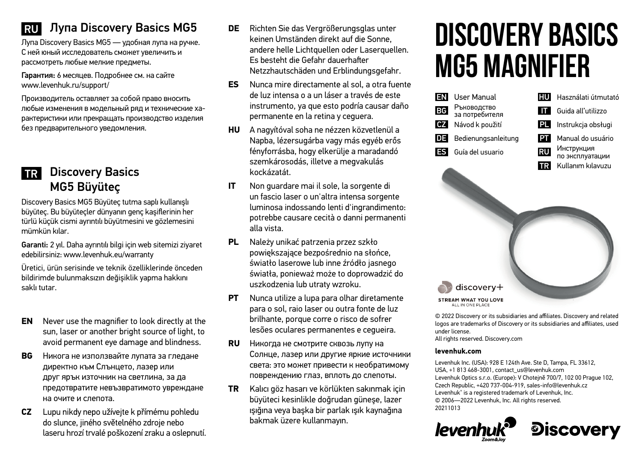# **RU Лупа Discovery Basics MG5**

Лупа Discovery Basics MG5 — удобная лупа на ручке. С ней юный исследователь сможет увеличить и рассмотреть любые мелкие предметы.

Гарантия: 6 месяцев. Подробнее см. на сайте www.levenhuk.ru/support/

Производитель оставляет за собой право вносить любые изменения в модельный ряд и технические характеристики или прекращать производство изделия без предварительного уведомления.

## **TR** Discovery Basics MG5 Büyüteç

Discovery Basics MG5 Büyüteç tutma saplı kullanışlı büyüteç. Bu büyüteçler dünyanın genç kaşiflerinin her türlü küçük cismi ayrıntılı büyütmesini ve gözlemesini mümkün kılar.

Garanti: 2 yıl. Daha ayrıntılı bilgi için web sitemizi ziyaret edebilirsiniz: www.levenhuk.eu/warranty

Üretici, ürün serisinde ve teknik özelliklerinde önceden bildirimde bulunmaksızın değişiklik yapma hakkını saklı tutar.

- **EN** Never use the magnifier to look directly at the sun, laser or another bright source of light, to avoid permanent eye damage and blindness.
- **BG** Никога не използвайте лупата за гледане директно към Слънцето, лазер или друг ярък източник на светлина, за да предотвратите невъзвратимото увреждане на очите и слепота.
- **CZ** Lupu nikdy nepo užívejte k přímému pohledu do slunce, jiného světelného zdroje nebo laseru hrozí trvalé poškození zraku a oslepnutí.
- **DE** Richten Sie das Vergrößerungsglas unter keinen Umständen direkt auf die Sonne, andere helle Lichtquellen oder Laserquellen. Es besteht die Gefahr dauerhafter Netzzhautschäden und Erblindungsgefahr.
- **ES** Nunca mire directamente al sol, a otra fuente de luz intensa o a un láser a través de este instrumento, ya que esto podría causar daño permanente en la retina y ceguera.
- **HU** A nagyítóval soha ne nézzen közvetlenül a Napba, lézersugárba vagy más egyéb erős fényforrásba, hogy elkerülje a maradandó szemkárosodás, illetve a megvakulás kockázatát.
- **IT** Non guardare mai il sole, la sorgente di un fascio laser o un'altra intensa sorgente luminosa indossando lenti d'ingrandimento: potrebbe causare cecità o danni permanenti alla vista.
- **PL** Należy unikać patrzenia przez szkło powiększające bezpośrednio na słońce, światło laserowe lub inne źródło jasnego światła, ponieważ może to doprowadzić do uszkodzenia lub utraty wzroku.
- **PT** Nunca utilize a lupa para olhar diretamente para o sol, raio laser ou outra fonte de luz brilhante, porque corre o risco de sofrer lesões oculares permanentes e cegueira.
- **RU** Никогда не смотрите сквозь лупу на Солнце, лазер или другие яркие источники света: это может привести к необратимому повреждению глаз, вплоть до слепоты.
- **TR** Kalıcı göz hasarı ve körlükten sakınmak için büyüteci kesinlikle doğrudan güneşe, lazer ışığına veya başka bir parlak ışık kaynağına bakmak üzere kullanmayın.

# **Discovery Basics MG5 Magnifier**



© 2022 Discovery or its subsidiaries and affiliates. Discovery and related logos are trademarks of Discovery or its subsidiaries and affiliates, used under license. All rights reserved. Discovery.com

#### **levenhuk.com**

Levenhuk Inc. (USA): 928 E 124th Ave. Ste D, Tampa, FL 33612, USA, +1 813 468-3001, contact\_us@levenhuk.com Levenhuk Optics s.r.o. (Europe): V Chotejně 700/7, 102 00 Prague 102, Czech Republic, +420 737-004-919, sales-info@levenhuk.cz Levenhuk® is a registered trademark of Levenhuk, Inc. © 2006—2022 Levenhuk, Inc. All rights reserved. 20211013